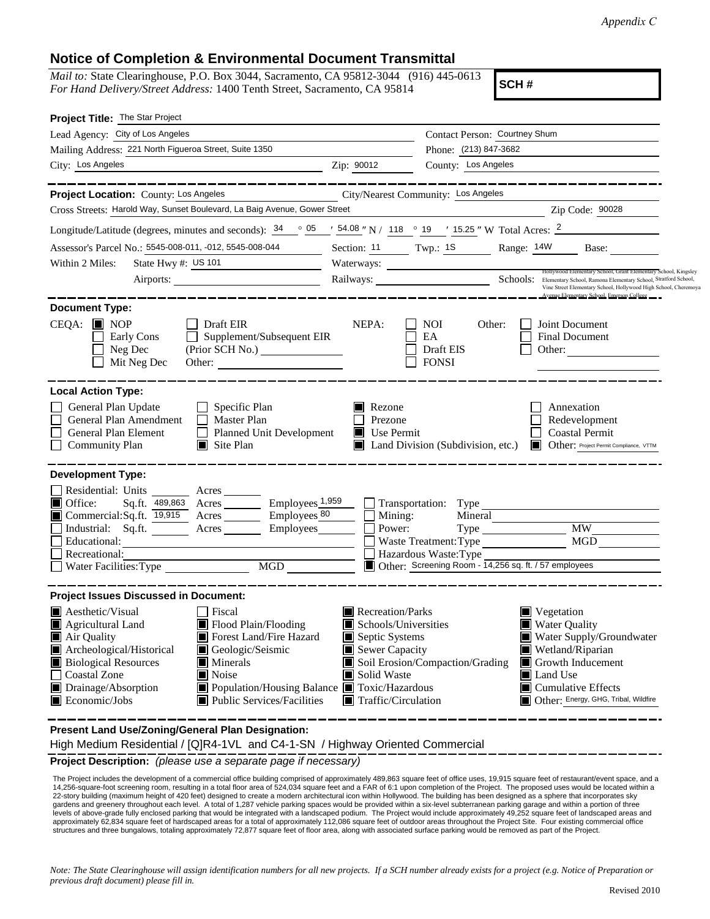## **Notice of Completion & Environmental Document Transmittal**

*Mail to:* State Clearinghouse, P.O. Box 3044, Sacramento, CA 95812-3044 (916) 445-0613 *For Hand Delivery/Street Address:* 1400 Tenth Street, Sacramento, CA 95814

**SCH #**

| Project Title: The Star Project                                                                                                                                                                                                                                                                                                                                                                                                         |                                                                                                                    |                                                         |                                                                                                                                                                                                                       |  |
|-----------------------------------------------------------------------------------------------------------------------------------------------------------------------------------------------------------------------------------------------------------------------------------------------------------------------------------------------------------------------------------------------------------------------------------------|--------------------------------------------------------------------------------------------------------------------|---------------------------------------------------------|-----------------------------------------------------------------------------------------------------------------------------------------------------------------------------------------------------------------------|--|
| Lead Agency: City of Los Angeles                                                                                                                                                                                                                                                                                                                                                                                                        |                                                                                                                    | Contact Person: Courtney Shum                           |                                                                                                                                                                                                                       |  |
| Mailing Address: 221 North Figueroa Street, Suite 1350                                                                                                                                                                                                                                                                                                                                                                                  |                                                                                                                    | Phone: (213) 847-3682                                   |                                                                                                                                                                                                                       |  |
| City: Los Angeles                                                                                                                                                                                                                                                                                                                                                                                                                       | Zip: 90012                                                                                                         | County: Los Angeles                                     |                                                                                                                                                                                                                       |  |
| Project Location: County: Los Angeles                                                                                                                                                                                                                                                                                                                                                                                                   |                                                                                                                    | City/Nearest Community: Los Angeles                     |                                                                                                                                                                                                                       |  |
| Cross Streets: Harold Way, Sunset Boulevard, La Baig Avenue, Gower Street                                                                                                                                                                                                                                                                                                                                                               |                                                                                                                    |                                                         | Zip Code: 90028                                                                                                                                                                                                       |  |
| Longitude/Latitude (degrees, minutes and seconds): $34 \degree$ 05 $\degree$ 54.08 "N / 118 $\degree$ 19 $\degree$ 15.25 "W Total Acres: $2$                                                                                                                                                                                                                                                                                            |                                                                                                                    |                                                         |                                                                                                                                                                                                                       |  |
| Assessor's Parcel No.: 5545-008-011, -012, 5545-008-044                                                                                                                                                                                                                                                                                                                                                                                 |                                                                                                                    | Section: 11 Twp.: 1S                                    | Range: 14W<br>Base:                                                                                                                                                                                                   |  |
| State Hwy #: US 101<br>Within 2 Miles:<br><u> 1990 - Johann Barnett, fransk politiker</u>                                                                                                                                                                                                                                                                                                                                               |                                                                                                                    |                                                         |                                                                                                                                                                                                                       |  |
| Airports:                                                                                                                                                                                                                                                                                                                                                                                                                               |                                                                                                                    |                                                         | Hollywood Elementary School, Grant Elementary School, Kingsley<br>Railways: Schools: Elementary School, Ramona Elementary School, Straford School,<br>Vine Street Elementary School, Hollywood High School, Cheremoya |  |
| <b>Document Type:</b>                                                                                                                                                                                                                                                                                                                                                                                                                   |                                                                                                                    |                                                         | Avenue Elementary School, Emerson College                                                                                                                                                                             |  |
| $CEQA:$ MOP<br>Draft EIR<br>Supplement/Subsequent EIR<br>Early Cons<br>Neg Dec<br>Mit Neg Dec<br>Other:                                                                                                                                                                                                                                                                                                                                 | NEPA:                                                                                                              | <b>NOI</b><br>Other:<br>EA<br>Draft EIS<br><b>FONSI</b> | Joint Document<br><b>Final Document</b><br>Other:                                                                                                                                                                     |  |
| <b>Local Action Type:</b><br>General Plan Update<br>Specific Plan<br>General Plan Amendment<br>$\Box$<br>Master Plan<br>General Plan Element<br>Planned Unit Development<br><b>Community Plan</b><br>$\Box$ Site Plan                                                                                                                                                                                                                   | Rezone<br>Prezone<br>$\blacksquare$<br>Use Permit                                                                  | Land Division (Subdivision, etc.)                       | Annexation<br>Redevelopment<br><b>Coastal Permit</b><br><b>Other:</b> Project Permit Compliance, VTTM                                                                                                                 |  |
| <b>Development Type:</b>                                                                                                                                                                                                                                                                                                                                                                                                                |                                                                                                                    |                                                         |                                                                                                                                                                                                                       |  |
| Residential: Units<br>Acres<br>Office:<br>$Employes_1,959$<br>Sq.ft. 489,863 Acres<br>Commercial: Sq.ft. $\overline{19,915}$<br>Acres Employees 80<br>Employees<br>Industrial: Sq.ft.<br>$A$ cres $\_\_\_\_\_\_\_\$<br>Educational:<br>Recreational:<br>MGD<br>Water Facilities: Type                                                                                                                                                   | $\Box$<br>Mining:<br>Power:<br>I.                                                                                  | Waste Treatment: Type<br>Hazardous Waste: Type          | Mineral<br>MW -<br>MGD<br>Other: Screening Room - 14,256 sq. ft. / 57 employees                                                                                                                                       |  |
| <b>Project Issues Discussed in Document:</b>                                                                                                                                                                                                                                                                                                                                                                                            |                                                                                                                    |                                                         |                                                                                                                                                                                                                       |  |
| Aesthetic/Visual<br>Fiscal<br>$\blacksquare$ Flood Plain/Flooding<br>$\blacksquare$ Agricultural Land<br>Air Quality<br>Forest Land/Fire Hazard<br>Archeological/Historical<br>Geologic/Seismic<br><b>Biological Resources</b><br>Minerals<br><b>Coastal Zone</b><br>$\blacksquare$ Noise<br>Drainage/Absorption<br>Population/Housing Balance <b>T</b> Toxic/Hazardous<br>$\blacksquare$ Economic/Jobs<br>■ Public Services/Facilities | Recreation/Parks<br>Schools/Universities<br>Septic Systems<br>Sewer Capacity<br>Solid Waste<br>Traffic/Circulation | Soil Erosion/Compaction/Grading                         | ■ Vegetation<br><b>Water Quality</b><br>Water Supply/Groundwater<br>Wetland/Riparian<br>Growth Inducement<br>Land Use<br>$\blacksquare$ Cumulative Effects<br>Other: Energy, GHG, Tribal, Wildfire                    |  |
| Present Land Use/Zoning/General Plan Designation:                                                                                                                                                                                                                                                                                                                                                                                       |                                                                                                                    |                                                         |                                                                                                                                                                                                                       |  |

High Medium Residential / [Q]R4-1VL and C4-1-SN / Highway Oriented Commercial

**Project Description:** *(please use a separate page if necessary)*

The Project includes the development of a commercial office building comprised of approximately 489,863 square feet of office uses, 19,915 square feet of restaurant/event space, and a 14,256-square-foot screening room, resulting in a total floor area of 524,034 square feet and a FAR of 6:1 upon completion of the Project. The proposed uses would be located within a 22-story building (maximum height of 420 feet) designed to create a modern architectural icon within Hollywood. The building has been designed as a sphere that incorporates sky gardens and greenery throughout each level. A total of 1,287 vehicle parking spaces would be provided within a six-level subterranean parking garage and within a portion of three levels of above-grade fully enclosed parking that would be integrated with a landscaped podium. The Project would include approximately 49,252 square feet of landscaped areas and<br>approximately 62,834 square feet of hardsc structures and three bungalows, totaling approximately 72,877 square feet of floor area, along with associated surface parking would be removed as part of the Project.

*Note: The State Clearinghouse will assign identification numbers for all new projects. If a SCH number already exists for a project (e.g. Notice of Preparation or previous draft document) please fill in.*